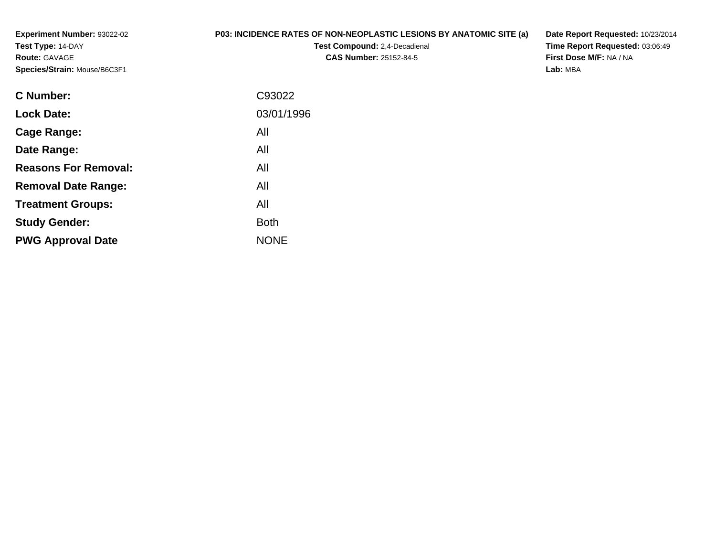**Experiment Number:** 93022-02**Test Type:** 14-DAY**Route:** GAVAGE**Species/Strain:** Mouse/B6C3F1

## **P03: INCIDENCE RATES OF NON-NEOPLASTIC LESIONS BY ANATOMIC SITE (a)**

**Test Compound:** 2,4-Decadienal **CAS Number:** 25152-84-5

**Date Report Requested:** 10/23/2014**Time Report Requested:** 03:06:49**First Dose M/F:** NA / NA**Lab:** MBA

| <b>C</b> Number:            | C93022      |
|-----------------------------|-------------|
| <b>Lock Date:</b>           | 03/01/1996  |
| Cage Range:                 | All         |
| Date Range:                 | All         |
| <b>Reasons For Removal:</b> | All         |
| <b>Removal Date Range:</b>  | All         |
| <b>Treatment Groups:</b>    | All         |
| <b>Study Gender:</b>        | <b>Both</b> |
| <b>PWG Approval Date</b>    | <b>NONE</b> |
|                             |             |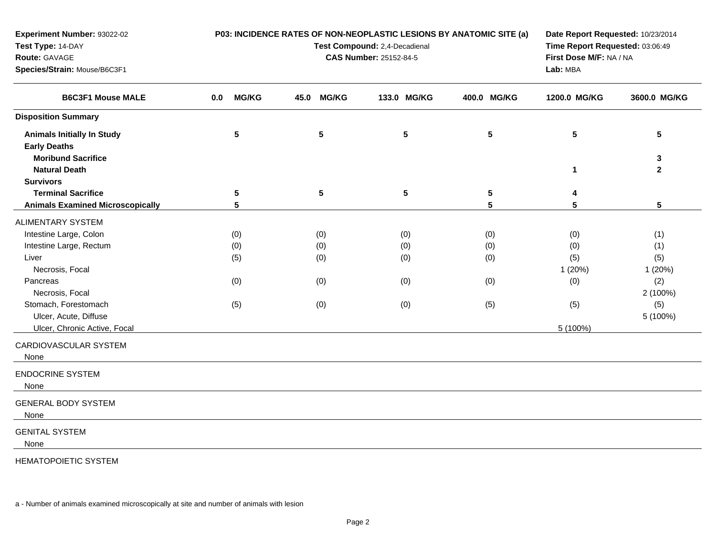| <b>Experiment Number: 93022-02</b><br>Test Type: 14-DAY<br>Route: GAVAGE<br>Species/Strain: Mouse/B6C3F1 |                     | P03: INCIDENCE RATES OF NON-NEOPLASTIC LESIONS BY ANATOMIC SITE (a)<br>Test Compound: 2,4-Decadienal<br><b>CAS Number: 25152-84-5</b> | Date Report Requested: 10/23/2014<br>Time Report Requested: 03:06:49<br>First Dose M/F: NA / NA<br>Lab: MBA |                 |              |                              |
|----------------------------------------------------------------------------------------------------------|---------------------|---------------------------------------------------------------------------------------------------------------------------------------|-------------------------------------------------------------------------------------------------------------|-----------------|--------------|------------------------------|
| <b>B6C3F1 Mouse MALE</b>                                                                                 | <b>MG/KG</b><br>0.0 | <b>MG/KG</b><br>45.0                                                                                                                  | 133.0 MG/KG                                                                                                 | 400.0 MG/KG     | 1200.0 MG/KG | 3600.0 MG/KG                 |
| <b>Disposition Summary</b>                                                                               |                     |                                                                                                                                       |                                                                                                             |                 |              |                              |
| <b>Animals Initially In Study</b><br><b>Early Deaths</b>                                                 | 5                   | $5\phantom{.0}$                                                                                                                       | $5\phantom{.0}$                                                                                             | $5\phantom{.0}$ | 5            | 5                            |
| <b>Moribund Sacrifice</b><br><b>Natural Death</b>                                                        |                     |                                                                                                                                       |                                                                                                             |                 | 1            | $\mathbf{3}$<br>$\mathbf{2}$ |
| <b>Survivors</b>                                                                                         |                     |                                                                                                                                       |                                                                                                             |                 |              |                              |
| <b>Terminal Sacrifice</b>                                                                                | $\sqrt{5}$          | $5\phantom{.0}$                                                                                                                       | ${\bf 5}$                                                                                                   | $5\phantom{.0}$ | 4            |                              |
| <b>Animals Examined Microscopically</b>                                                                  | 5                   |                                                                                                                                       |                                                                                                             | 5               | 5            | $5\phantom{.0}$              |
| <b>ALIMENTARY SYSTEM</b>                                                                                 |                     |                                                                                                                                       |                                                                                                             |                 |              |                              |
| Intestine Large, Colon                                                                                   | (0)                 | (0)                                                                                                                                   | (0)                                                                                                         | (0)             | (0)          | (1)                          |
| Intestine Large, Rectum                                                                                  | (0)                 | (0)                                                                                                                                   | (0)                                                                                                         | (0)             | (0)          | (1)                          |
| Liver                                                                                                    | (5)                 | (0)                                                                                                                                   | (0)                                                                                                         | (0)             | (5)          | (5)                          |
| Necrosis, Focal                                                                                          |                     |                                                                                                                                       |                                                                                                             |                 | 1(20%)       | 1(20%)                       |
| Pancreas                                                                                                 | (0)                 | (0)                                                                                                                                   | (0)                                                                                                         | (0)             | (0)          | (2)                          |
| Necrosis, Focal                                                                                          |                     |                                                                                                                                       |                                                                                                             |                 |              | 2 (100%)                     |
| Stomach, Forestomach                                                                                     | (5)                 | (0)                                                                                                                                   | (0)                                                                                                         | (5)             | (5)          | (5)                          |
| Ulcer, Acute, Diffuse                                                                                    |                     |                                                                                                                                       |                                                                                                             |                 |              | 5 (100%)                     |
| Ulcer, Chronic Active, Focal                                                                             |                     |                                                                                                                                       |                                                                                                             |                 | 5 (100%)     |                              |
| CARDIOVASCULAR SYSTEM<br>None                                                                            |                     |                                                                                                                                       |                                                                                                             |                 |              |                              |
| <b>ENDOCRINE SYSTEM</b><br>None                                                                          |                     |                                                                                                                                       |                                                                                                             |                 |              |                              |
| <b>GENERAL BODY SYSTEM</b><br>None                                                                       |                     |                                                                                                                                       |                                                                                                             |                 |              |                              |
| <b>GENITAL SYSTEM</b><br>None                                                                            |                     |                                                                                                                                       |                                                                                                             |                 |              |                              |
| <b>HEMATOPOIETIC SYSTEM</b>                                                                              |                     |                                                                                                                                       |                                                                                                             |                 |              |                              |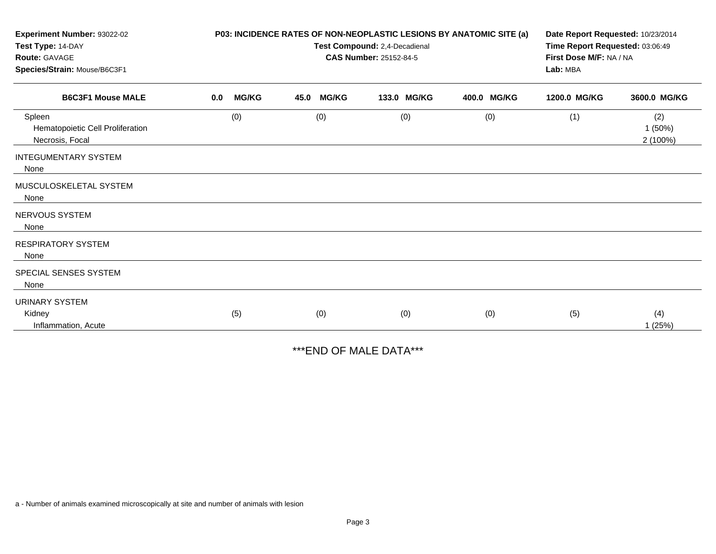| Experiment Number: 93022-02                                   | P03: INCIDENCE RATES OF NON-NEOPLASTIC LESIONS BY ANATOMIC SITE (a) |                               |      |              |                               |             | Date Report Requested: 10/23/2014 |                                 |  |  |
|---------------------------------------------------------------|---------------------------------------------------------------------|-------------------------------|------|--------------|-------------------------------|-------------|-----------------------------------|---------------------------------|--|--|
| Test Type: 14-DAY                                             |                                                                     | Test Compound: 2,4-Decadienal |      |              |                               |             |                                   | Time Report Requested: 03:06:49 |  |  |
| Route: GAVAGE                                                 |                                                                     |                               |      |              | <b>CAS Number: 25152-84-5</b> |             | First Dose M/F: NA / NA           |                                 |  |  |
| Species/Strain: Mouse/B6C3F1<br><b>B6C3F1 Mouse MALE</b>      |                                                                     |                               |      |              |                               |             | Lab: MBA                          |                                 |  |  |
|                                                               | 0.0                                                                 | <b>MG/KG</b>                  | 45.0 | <b>MG/KG</b> | 133.0 MG/KG                   | 400.0 MG/KG | 1200.0 MG/KG                      | 3600.0 MG/KG                    |  |  |
| Spleen<br>Hematopoietic Cell Proliferation<br>Necrosis, Focal |                                                                     | (0)                           |      | (0)          | (0)                           | (0)         | (1)                               | (2)<br>1(50%)<br>2 (100%)       |  |  |
| <b>INTEGUMENTARY SYSTEM</b><br>None                           |                                                                     |                               |      |              |                               |             |                                   |                                 |  |  |
| MUSCULOSKELETAL SYSTEM<br>None                                |                                                                     |                               |      |              |                               |             |                                   |                                 |  |  |
| <b>NERVOUS SYSTEM</b><br>None                                 |                                                                     |                               |      |              |                               |             |                                   |                                 |  |  |
| <b>RESPIRATORY SYSTEM</b><br>None                             |                                                                     |                               |      |              |                               |             |                                   |                                 |  |  |
| SPECIAL SENSES SYSTEM<br>None                                 |                                                                     |                               |      |              |                               |             |                                   |                                 |  |  |
| <b>URINARY SYSTEM</b><br>Kidney                               |                                                                     | (5)                           |      | (0)          | (0)                           | (0)         | (5)                               | (4)                             |  |  |
| Inflammation, Acute                                           |                                                                     |                               |      |              |                               |             |                                   | 1(25%)                          |  |  |

\*\*\*END OF MALE DATA\*\*\*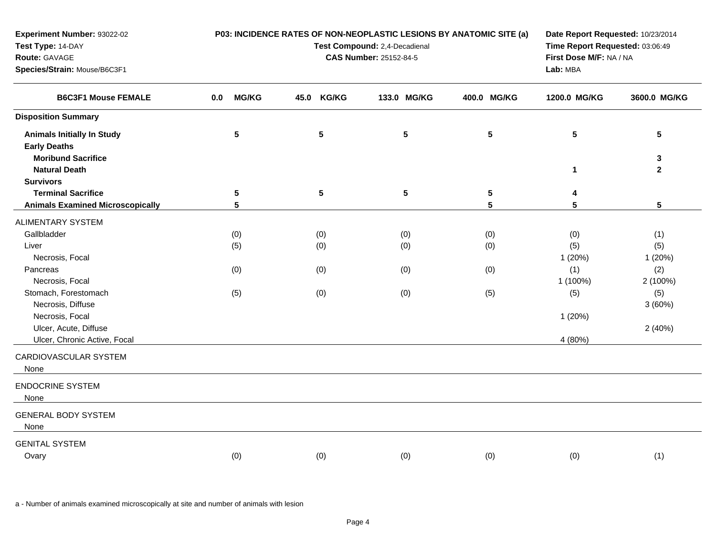| Experiment Number: 93022-02<br>Test Type: 14-DAY<br>Route: GAVAGE                     |                     | P03: INCIDENCE RATES OF NON-NEOPLASTIC LESIONS BY ANATOMIC SITE (a)<br>Test Compound: 2,4-Decadienal<br><b>CAS Number: 25152-84-5</b> | Date Report Requested: 10/23/2014<br>Time Report Requested: 03:06:49<br>First Dose M/F: NA / NA |                 |                 |                   |
|---------------------------------------------------------------------------------------|---------------------|---------------------------------------------------------------------------------------------------------------------------------------|-------------------------------------------------------------------------------------------------|-----------------|-----------------|-------------------|
| Species/Strain: Mouse/B6C3F1<br><b>B6C3F1 Mouse FEMALE</b>                            |                     |                                                                                                                                       |                                                                                                 |                 | Lab: MBA        |                   |
|                                                                                       | <b>MG/KG</b><br>0.0 | 45.0 KG/KG                                                                                                                            | 133.0 MG/KG                                                                                     | 400.0 MG/KG     | 1200.0 MG/KG    | 3600.0 MG/KG      |
| <b>Disposition Summary</b>                                                            |                     |                                                                                                                                       |                                                                                                 |                 |                 |                   |
| <b>Animals Initially In Study</b><br><b>Early Deaths</b><br><b>Moribund Sacrifice</b> | $5\phantom{.0}$     | $5\phantom{.0}$                                                                                                                       | ${\bf 5}$                                                                                       | $5\phantom{a}$  | $5\phantom{.0}$ | 5                 |
| <b>Natural Death</b>                                                                  |                     |                                                                                                                                       |                                                                                                 |                 | $\mathbf{1}$    | 3<br>$\mathbf{2}$ |
| <b>Survivors</b>                                                                      |                     |                                                                                                                                       |                                                                                                 |                 |                 |                   |
| <b>Terminal Sacrifice</b>                                                             | $5\phantom{.0}$     | $5\phantom{.0}$                                                                                                                       | $5\phantom{.0}$                                                                                 | $5\phantom{.0}$ | 4               |                   |
| <b>Animals Examined Microscopically</b>                                               | 5                   |                                                                                                                                       |                                                                                                 | 5               | 5               | 5 <sup>5</sup>    |
| <b>ALIMENTARY SYSTEM</b>                                                              |                     |                                                                                                                                       |                                                                                                 |                 |                 |                   |
| Gallbladder                                                                           | (0)                 | (0)                                                                                                                                   | (0)                                                                                             | (0)             | (0)             | (1)               |
| Liver                                                                                 | (5)                 | (0)                                                                                                                                   | (0)                                                                                             | (0)             | (5)             | (5)               |
| Necrosis, Focal                                                                       |                     |                                                                                                                                       |                                                                                                 |                 | 1(20%)          | 1(20%)            |
| Pancreas                                                                              | (0)                 | (0)                                                                                                                                   | (0)                                                                                             | (0)             | (1)             | (2)               |
| Necrosis, Focal                                                                       |                     |                                                                                                                                       |                                                                                                 |                 | 1 (100%)        | 2 (100%)          |
| Stomach, Forestomach                                                                  | (5)                 | (0)                                                                                                                                   | (0)                                                                                             | (5)             | (5)             | (5)               |
| Necrosis, Diffuse                                                                     |                     |                                                                                                                                       |                                                                                                 |                 |                 | 3(60%)            |
| Necrosis, Focal                                                                       |                     |                                                                                                                                       |                                                                                                 |                 | 1(20%)          |                   |
| Ulcer, Acute, Diffuse                                                                 |                     |                                                                                                                                       |                                                                                                 |                 |                 | 2(40%)            |
| Ulcer, Chronic Active, Focal                                                          |                     |                                                                                                                                       |                                                                                                 |                 | 4 (80%)         |                   |
| CARDIOVASCULAR SYSTEM<br>None                                                         |                     |                                                                                                                                       |                                                                                                 |                 |                 |                   |
| <b>ENDOCRINE SYSTEM</b><br>None                                                       |                     |                                                                                                                                       |                                                                                                 |                 |                 |                   |
| <b>GENERAL BODY SYSTEM</b><br>None                                                    |                     |                                                                                                                                       |                                                                                                 |                 |                 |                   |
| <b>GENITAL SYSTEM</b>                                                                 |                     |                                                                                                                                       |                                                                                                 |                 |                 |                   |
| Ovary                                                                                 | (0)                 | (0)                                                                                                                                   | (0)                                                                                             | (0)             | (0)             | (1)               |